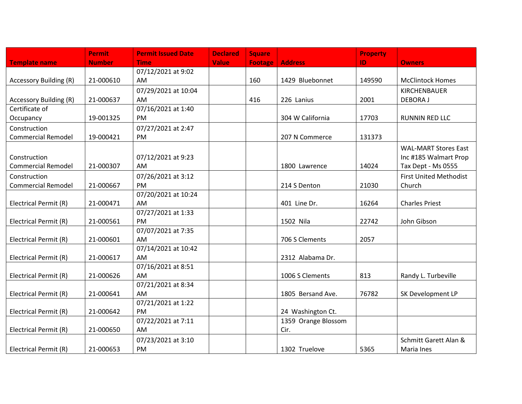|                           | <b>Permit</b> | <b>Permit Issued Date</b> | <b>Declared</b> | <b>Square</b>  |                     | <b>Property</b> |                               |
|---------------------------|---------------|---------------------------|-----------------|----------------|---------------------|-----------------|-------------------------------|
| <b>Template name</b>      | <b>Number</b> | <b>Time</b>               | <b>Value</b>    | <b>Footage</b> | <b>Address</b>      | ID.             | <b>Owners</b>                 |
|                           |               | 07/12/2021 at 9:02        |                 |                |                     |                 |                               |
| Accessory Building (R)    | 21-000610     | AM                        |                 | 160            | 1429 Bluebonnet     | 149590          | <b>McClintock Homes</b>       |
|                           |               | 07/29/2021 at 10:04       |                 |                |                     |                 | KIRCHENBAUER                  |
| Accessory Building (R)    | 21-000637     | AM                        |                 | 416            | 226 Lanius          | 2001            | <b>DEBORAJ</b>                |
| Certificate of            |               | 07/16/2021 at 1:40        |                 |                |                     |                 |                               |
| Occupancy                 | 19-001325     | PM                        |                 |                | 304 W California    | 17703           | <b>RUNNIN RED LLC</b>         |
| Construction              |               | 07/27/2021 at 2:47        |                 |                |                     |                 |                               |
| <b>Commercial Remodel</b> | 19-000421     | PM                        |                 |                | 207 N Commerce      | 131373          |                               |
|                           |               |                           |                 |                |                     |                 | <b>WAL-MART Stores East</b>   |
| Construction              |               | 07/12/2021 at 9:23        |                 |                |                     |                 | Inc #185 Walmart Prop         |
| <b>Commercial Remodel</b> | 21-000307     | AM                        |                 |                | 1800 Lawrence       | 14024           | Tax Dept - Ms 0555            |
| Construction              |               | 07/26/2021 at 3:12        |                 |                |                     |                 | <b>First United Methodist</b> |
| <b>Commercial Remodel</b> | 21-000667     | PM                        |                 |                | 214 S Denton        | 21030           | Church                        |
|                           |               | 07/20/2021 at 10:24       |                 |                |                     |                 |                               |
| Electrical Permit (R)     | 21-000471     | AM                        |                 |                | 401 Line Dr.        | 16264           | <b>Charles Priest</b>         |
|                           |               | 07/27/2021 at 1:33        |                 |                |                     |                 |                               |
| Electrical Permit (R)     | 21-000561     | PM                        |                 |                | 1502 Nila           | 22742           | John Gibson                   |
|                           |               | 07/07/2021 at 7:35        |                 |                |                     |                 |                               |
| Electrical Permit (R)     | 21-000601     | AM                        |                 |                | 706 S Clements      | 2057            |                               |
|                           |               | 07/14/2021 at 10:42       |                 |                |                     |                 |                               |
| Electrical Permit (R)     | 21-000617     | AM                        |                 |                | 2312 Alabama Dr.    |                 |                               |
|                           |               | 07/16/2021 at 8:51        |                 |                |                     |                 |                               |
| Electrical Permit (R)     | 21-000626     | AM                        |                 |                | 1006 S Clements     | 813             | Randy L. Turbeville           |
|                           |               | 07/21/2021 at 8:34        |                 |                |                     |                 |                               |
| Electrical Permit (R)     | 21-000641     | AM                        |                 |                | 1805 Bersand Ave.   | 76782           | SK Development LP             |
|                           |               | 07/21/2021 at 1:22        |                 |                |                     |                 |                               |
| Electrical Permit (R)     | 21-000642     | PM                        |                 |                | 24 Washington Ct.   |                 |                               |
|                           |               | 07/22/2021 at 7:11        |                 |                | 1359 Orange Blossom |                 |                               |
| Electrical Permit (R)     | 21-000650     | AM                        |                 |                | Cir.                |                 |                               |
|                           |               | 07/23/2021 at 3:10        |                 |                |                     |                 | Schmitt Garett Alan &         |
| Electrical Permit (R)     | 21-000653     | PM                        |                 |                | 1302 Truelove       | 5365            | Maria Ines                    |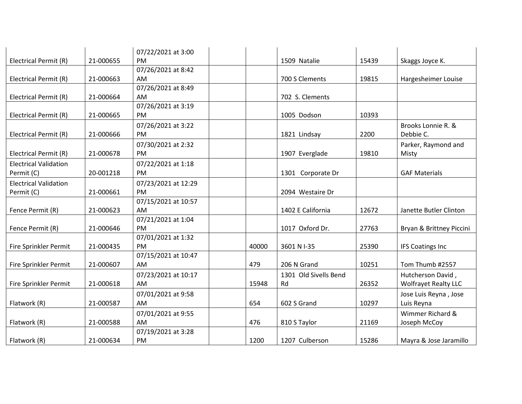|                              |           | 07/22/2021 at 3:00  |       |                       |       |                             |
|------------------------------|-----------|---------------------|-------|-----------------------|-------|-----------------------------|
| Electrical Permit (R)        | 21-000655 | <b>PM</b>           |       | 1509 Natalie          | 15439 | Skaggs Joyce K.             |
|                              |           | 07/26/2021 at 8:42  |       |                       |       |                             |
| Electrical Permit (R)        | 21-000663 | AM                  |       | 700 S Clements        | 19815 | Hargesheimer Louise         |
|                              |           | 07/26/2021 at 8:49  |       |                       |       |                             |
| Electrical Permit (R)        | 21-000664 | <b>AM</b>           |       | 702 S. Clements       |       |                             |
|                              |           | 07/26/2021 at 3:19  |       |                       |       |                             |
| Electrical Permit (R)        | 21-000665 | PM                  |       | 1005 Dodson           | 10393 |                             |
|                              |           | 07/26/2021 at 3:22  |       |                       |       | Brooks Lonnie R. &          |
| Electrical Permit (R)        | 21-000666 | PM                  |       | 1821 Lindsay          | 2200  | Debbie C.                   |
|                              |           | 07/30/2021 at 2:32  |       |                       |       | Parker, Raymond and         |
| Electrical Permit (R)        | 21-000678 | PM                  |       | 1907 Everglade        | 19810 | Misty                       |
| <b>Electrical Validation</b> |           | 07/22/2021 at 1:18  |       |                       |       |                             |
| Permit (C)                   | 20-001218 | PM                  |       | 1301 Corporate Dr     |       | <b>GAF Materials</b>        |
| <b>Electrical Validation</b> |           | 07/23/2021 at 12:29 |       |                       |       |                             |
| Permit (C)                   | 21-000661 | <b>PM</b>           |       | 2094 Westaire Dr      |       |                             |
|                              |           | 07/15/2021 at 10:57 |       |                       |       |                             |
| Fence Permit (R)             | 21-000623 | AM                  |       | 1402 E California     | 12672 | Janette Butler Clinton      |
|                              |           | 07/21/2021 at 1:04  |       |                       |       |                             |
| Fence Permit (R)             | 21-000646 | <b>PM</b>           |       | 1017 Oxford Dr.       | 27763 | Bryan & Brittney Piccini    |
|                              |           | 07/01/2021 at 1:32  |       |                       |       |                             |
| Fire Sprinkler Permit        | 21-000435 | PM                  | 40000 | 3601 N I-35           | 25390 | <b>IFS Coatings Inc</b>     |
|                              |           | 07/15/2021 at 10:47 |       |                       |       |                             |
| Fire Sprinkler Permit        | 21-000607 | AM                  | 479   | 206 N Grand           | 10251 | Tom Thumb #2557             |
|                              |           | 07/23/2021 at 10:17 |       | 1301 Old Sivells Bend |       | Hutcherson David,           |
| Fire Sprinkler Permit        | 21-000618 | AM                  | 15948 | Rd                    | 26352 | <b>Wolfrayet Realty LLC</b> |
|                              |           | 07/01/2021 at 9:58  |       |                       |       | Jose Luis Reyna, Jose       |
| Flatwork (R)                 | 21-000587 | AM                  | 654   | 602 S Grand           | 10297 | Luis Reyna                  |
|                              |           | 07/01/2021 at 9:55  |       |                       |       | Wimmer Richard &            |
| Flatwork (R)                 | 21-000588 | AM                  | 476   | 810 S Taylor          | 21169 | Joseph McCoy                |
|                              |           | 07/19/2021 at 3:28  |       |                       |       |                             |
| Flatwork (R)                 | 21-000634 | PM                  | 1200  | 1207 Culberson        | 15286 | Mayra & Jose Jaramillo      |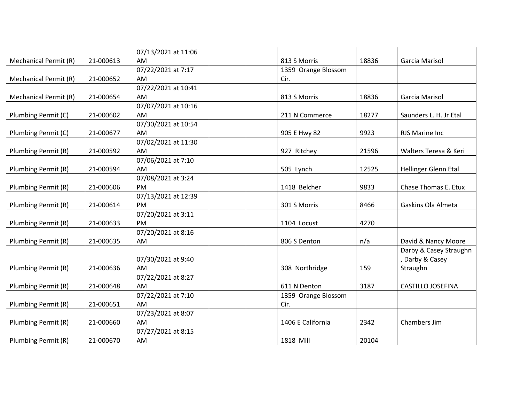|                              |           | 07/13/2021 at 11:06 |                     |       |                          |
|------------------------------|-----------|---------------------|---------------------|-------|--------------------------|
| <b>Mechanical Permit (R)</b> | 21-000613 | AM                  | 813 S Morris        | 18836 | Garcia Marisol           |
|                              |           | 07/22/2021 at 7:17  | 1359 Orange Blossom |       |                          |
| <b>Mechanical Permit (R)</b> | 21-000652 | AM                  | Cir.                |       |                          |
|                              |           | 07/22/2021 at 10:41 |                     |       |                          |
| Mechanical Permit (R)        | 21-000654 | AM                  | 813 S Morris        | 18836 | Garcia Marisol           |
|                              |           | 07/07/2021 at 10:16 |                     |       |                          |
| Plumbing Permit (C)          | 21-000602 | AM                  | 211 N Commerce      | 18277 | Saunders L. H. Jr Etal   |
|                              |           | 07/30/2021 at 10:54 |                     |       |                          |
| Plumbing Permit (C)          | 21-000677 | AM                  | 905 E Hwy 82        | 9923  | RJS Marine Inc           |
|                              |           | 07/02/2021 at 11:30 |                     |       |                          |
| Plumbing Permit (R)          | 21-000592 | AM                  | 927 Ritchey         | 21596 | Walters Teresa & Keri    |
|                              |           | 07/06/2021 at 7:10  |                     |       |                          |
| Plumbing Permit (R)          | 21-000594 | AM                  | 505 Lynch           | 12525 | Hellinger Glenn Etal     |
|                              |           | 07/08/2021 at 3:24  |                     |       |                          |
| Plumbing Permit (R)          | 21-000606 | <b>PM</b>           | 1418 Belcher        | 9833  | Chase Thomas E. Etux     |
|                              |           | 07/13/2021 at 12:39 |                     |       |                          |
| Plumbing Permit (R)          | 21-000614 | <b>PM</b>           | 301 S Morris        | 8466  | Gaskins Ola Almeta       |
|                              |           | 07/20/2021 at 3:11  |                     |       |                          |
| Plumbing Permit (R)          | 21-000633 | <b>PM</b>           | 1104 Locust         | 4270  |                          |
|                              |           | 07/20/2021 at 8:16  |                     |       |                          |
| Plumbing Permit (R)          | 21-000635 | AM                  | 806 S Denton        | n/a   | David & Nancy Moore      |
|                              |           |                     |                     |       | Darby & Casey Straughn   |
|                              |           | 07/30/2021 at 9:40  |                     |       | , Darby & Casey          |
| Plumbing Permit (R)          | 21-000636 | AM                  | 308 Northridge      | 159   | Straughn                 |
|                              |           | 07/22/2021 at 8:27  |                     |       |                          |
| Plumbing Permit (R)          | 21-000648 | AM                  | 611 N Denton        | 3187  | <b>CASTILLO JOSEFINA</b> |
|                              |           | 07/22/2021 at 7:10  | 1359 Orange Blossom |       |                          |
| Plumbing Permit (R)          | 21-000651 | AM                  | Cir.                |       |                          |
|                              |           | 07/23/2021 at 8:07  |                     |       |                          |
| Plumbing Permit (R)          | 21-000660 | AM                  | 1406 E California   | 2342  | Chambers Jim             |
|                              |           | 07/27/2021 at 8:15  |                     |       |                          |
| Plumbing Permit (R)          | 21-000670 | AM                  | 1818 Mill           | 20104 |                          |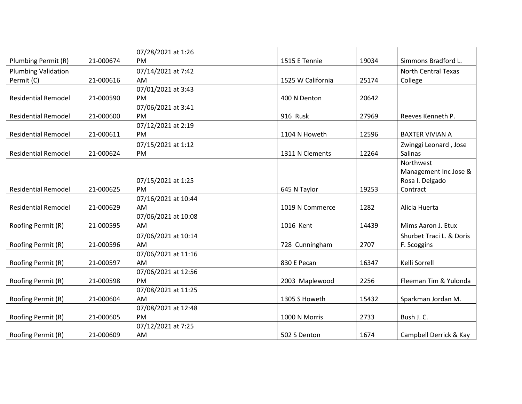|                            |           | 07/28/2021 at 1:26  |                   |       |                            |
|----------------------------|-----------|---------------------|-------------------|-------|----------------------------|
| Plumbing Permit (R)        | 21-000674 | <b>PM</b>           | 1515 E Tennie     | 19034 | Simmons Bradford L.        |
| <b>Plumbing Validation</b> |           | 07/14/2021 at 7:42  |                   |       | <b>North Central Texas</b> |
| Permit (C)                 | 21-000616 | AM                  | 1525 W California | 25174 | College                    |
|                            |           | 07/01/2021 at 3:43  |                   |       |                            |
| <b>Residential Remodel</b> | 21-000590 | PM                  | 400 N Denton      | 20642 |                            |
|                            |           | 07/06/2021 at 3:41  |                   |       |                            |
| <b>Residential Remodel</b> | 21-000600 | PM                  | 916 Rusk          | 27969 | Reeves Kenneth P.          |
|                            |           | 07/12/2021 at 2:19  |                   |       |                            |
| <b>Residential Remodel</b> | 21-000611 | PM                  | 1104 N Howeth     | 12596 | <b>BAXTER VIVIAN A</b>     |
|                            |           | 07/15/2021 at 1:12  |                   |       | Zwinggi Leonard, Jose      |
| <b>Residential Remodel</b> | 21-000624 | PM                  | 1311 N Clements   | 12264 | Salinas                    |
|                            |           |                     |                   |       | Northwest                  |
|                            |           |                     |                   |       | Management Inc Jose &      |
|                            |           | 07/15/2021 at 1:25  |                   |       | Rosa I. Delgado            |
| <b>Residential Remodel</b> | 21-000625 | <b>PM</b>           | 645 N Taylor      | 19253 | Contract                   |
|                            |           | 07/16/2021 at 10:44 |                   |       |                            |
| <b>Residential Remodel</b> | 21-000629 | AM                  | 1019 N Commerce   | 1282  | Alicia Huerta              |
|                            |           | 07/06/2021 at 10:08 |                   |       |                            |
| Roofing Permit (R)         | 21-000595 | AM                  | 1016 Kent         | 14439 | Mims Aaron J. Etux         |
|                            |           | 07/06/2021 at 10:14 |                   |       | Shurbet Traci L. & Doris   |
| Roofing Permit (R)         | 21-000596 | AM                  | 728 Cunningham    | 2707  | F. Scoggins                |
|                            |           | 07/06/2021 at 11:16 |                   |       |                            |
| Roofing Permit (R)         | 21-000597 | AM                  | 830 E Pecan       | 16347 | Kelli Sorrell              |
|                            |           | 07/06/2021 at 12:56 |                   |       |                            |
| Roofing Permit (R)         | 21-000598 | <b>PM</b>           | 2003 Maplewood    | 2256  | Fleeman Tim & Yulonda      |
|                            |           | 07/08/2021 at 11:25 |                   |       |                            |
| Roofing Permit (R)         | 21-000604 | <b>AM</b>           | 1305 S Howeth     | 15432 | Sparkman Jordan M.         |
|                            |           | 07/08/2021 at 12:48 |                   |       |                            |
| Roofing Permit (R)         | 21-000605 | PM                  | 1000 N Morris     | 2733  | Bush J. C.                 |
|                            |           | 07/12/2021 at 7:25  |                   |       |                            |
| Roofing Permit (R)         | 21-000609 | AM                  | 502 S Denton      | 1674  | Campbell Derrick & Kay     |